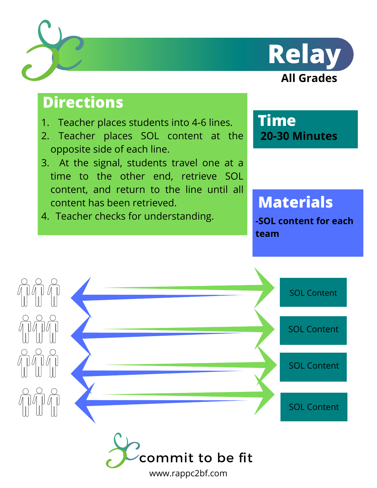



# **Directions**

- 1. Teacher places students into 4-6 lines.
- 2. Teacher places SOL content at the opposite side of each line.
- At the signal, students travel one at a 3. time to the other end, retrieve SOL content, and return to the line until all content has been retrieved.
- 4. Teacher checks for understanding.

**Time 20-30 Minutes**

# **Materials**

**-SOL content for each team**



www.rappc2bf.com